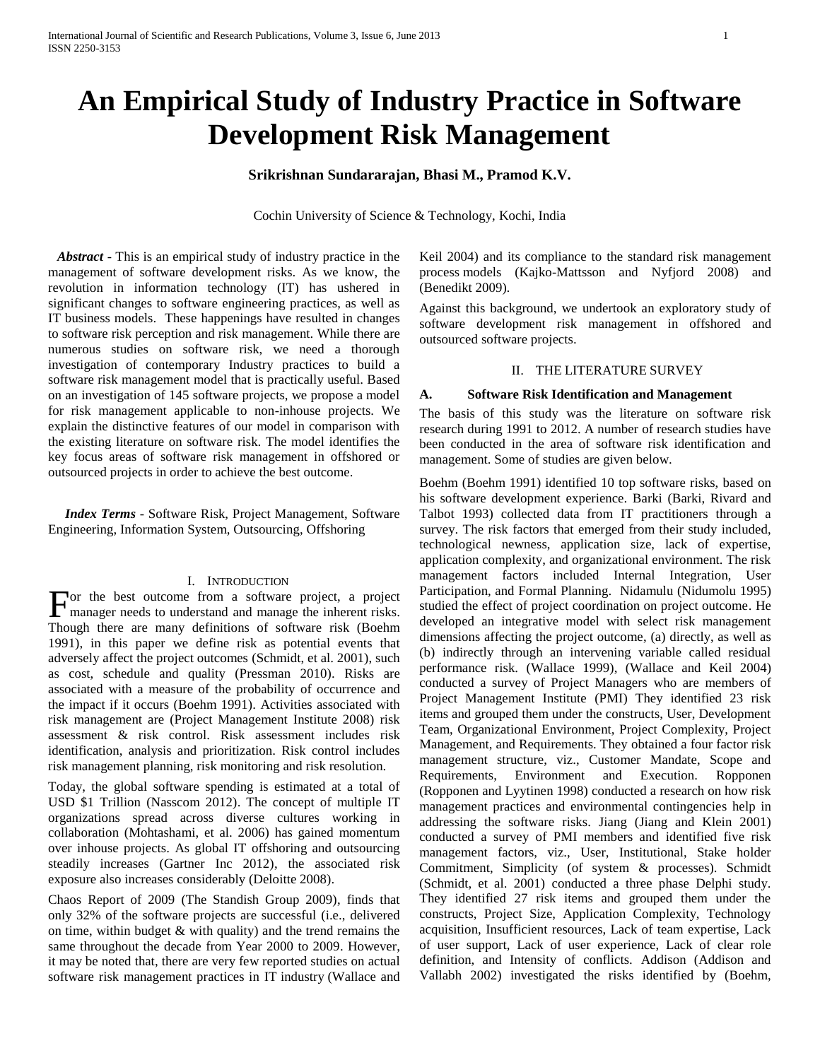# **An Empirical Study of Industry Practice in Software Development Risk Management**

# **Srikrishnan Sundararajan, Bhasi M., Pramod K.V.**

Cochin University of Science & Technology, Kochi, India

 *Abstract* - This is an empirical study of industry practice in the management of software development risks. As we know, the revolution in information technology (IT) has ushered in significant changes to software engineering practices, as well as IT business models. These happenings have resulted in changes to software risk perception and risk management. While there are numerous studies on software risk, we need a thorough investigation of contemporary Industry practices to build a software risk management model that is practically useful. Based on an investigation of 145 software projects, we propose a model for risk management applicable to non-inhouse projects. We explain the distinctive features of our model in comparison with the existing literature on software risk. The model identifies the key focus areas of software risk management in offshored or outsourced projects in order to achieve the best outcome.

 *Index Terms* - Software Risk, Project Management, Software Engineering, Information System, Outsourcing, Offshoring

# I. INTRODUCTION

or the best outcome from a software project, a project For the best outcome from a software project, a project manager needs to understand and manage the inherent risks. Though there are many definitions of software risk (Boehm 1991), in this paper we define risk as potential events that adversely affect the project outcomes (Schmidt, et al. 2001), such as cost, schedule and quality (Pressman 2010). Risks are associated with a measure of the probability of occurrence and the impact if it occurs (Boehm 1991). Activities associated with risk management are (Project Management Institute 2008) risk assessment & risk control. Risk assessment includes risk identification, analysis and prioritization. Risk control includes risk management planning, risk monitoring and risk resolution.

Today, the global software spending is estimated at a total of USD \$1 Trillion (Nasscom 2012). The concept of multiple IT organizations spread across diverse cultures working in collaboration (Mohtashami, et al. 2006) has gained momentum over inhouse projects. As global IT offshoring and outsourcing steadily increases (Gartner Inc 2012), the associated risk exposure also increases considerably (Deloitte 2008).

Chaos Report of 2009 (The Standish Group 2009), finds that only 32% of the software projects are successful (i.e., delivered on time, within budget  $&$  with quality) and the trend remains the same throughout the decade from Year 2000 to 2009. However, it may be noted that, there are very few reported studies on actual software risk management practices in IT industry (Wallace and

Keil 2004) and its compliance to the standard risk management process models (Kajko-Mattsson and Nyfjord 2008) and (Benedikt 2009)*.*

Against this background, we undertook an exploratory study of software development risk management in offshored and outsourced software projects.

#### II. THE LITERATURE SURVEY

#### **A. Software Risk Identification and Management**

The basis of this study was the literature on software risk research during 1991 to 2012. A number of research studies have been conducted in the area of software risk identification and management. Some of studies are given below.

Boehm (Boehm 1991) identified 10 top software risks, based on his software development experience. Barki (Barki, Rivard and Talbot 1993) collected data from IT practitioners through a survey. The risk factors that emerged from their study included, technological newness, application size, lack of expertise, application complexity, and organizational environment. The risk management factors included Internal Integration, User Participation, and Formal Planning. Nidamulu (Nidumolu 1995) studied the effect of project coordination on project outcome. He developed an integrative model with select risk management dimensions affecting the project outcome, (a) directly, as well as (b) indirectly through an intervening variable called residual performance risk. (Wallace 1999), (Wallace and Keil 2004) conducted a survey of Project Managers who are members of Project Management Institute (PMI) They identified 23 risk items and grouped them under the constructs, User, Development Team, Organizational Environment, Project Complexity, Project Management, and Requirements. They obtained a four factor risk management structure, viz., Customer Mandate, Scope and Requirements, Environment and Execution. Ropponen (Ropponen and Lyytinen 1998) conducted a research on how risk management practices and environmental contingencies help in addressing the software risks. Jiang (Jiang and Klein 2001) conducted a survey of PMI members and identified five risk management factors, viz., User, Institutional, Stake holder Commitment, Simplicity (of system & processes). Schmidt (Schmidt, et al. 2001) conducted a three phase Delphi study. They identified 27 risk items and grouped them under the constructs, Project Size, Application Complexity, Technology acquisition, Insufficient resources, Lack of team expertise, Lack of user support, Lack of user experience, Lack of clear role definition, and Intensity of conflicts. Addison (Addison and Vallabh 2002) investigated the risks identified by (Boehm,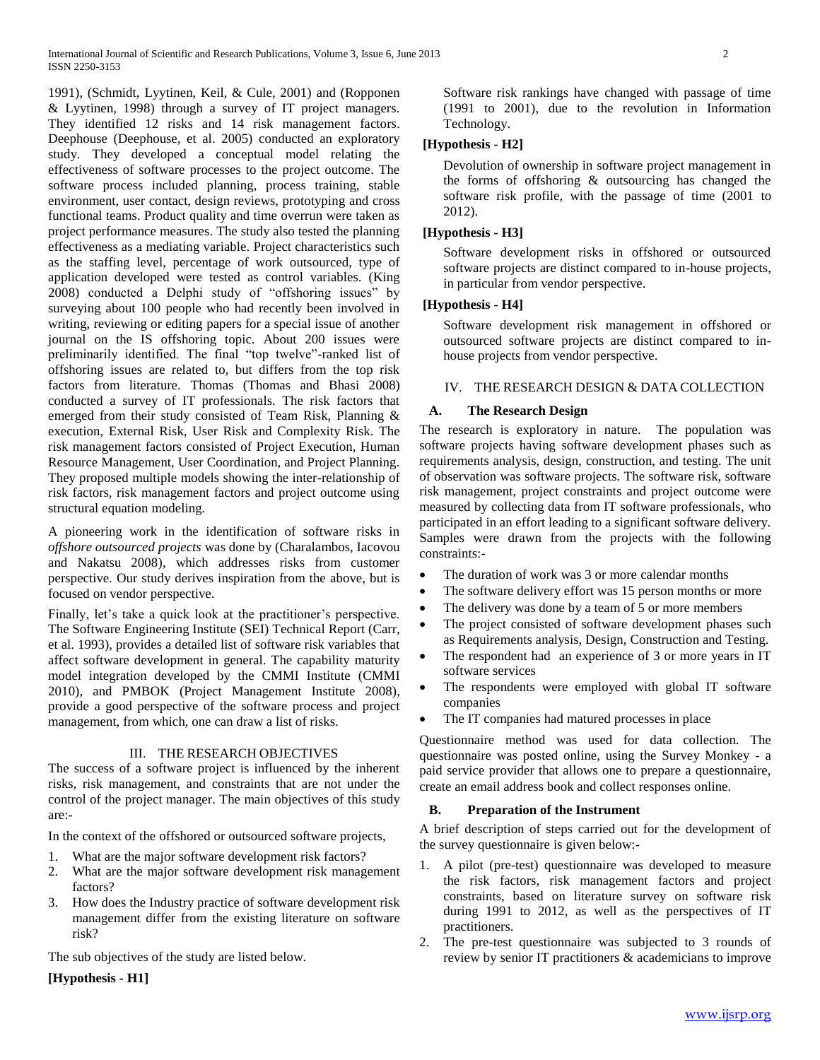1991), (Schmidt, Lyytinen, Keil, & Cule, 2001) and (Ropponen & Lyytinen, 1998) through a survey of IT project managers. They identified 12 risks and 14 risk management factors. Deephouse (Deephouse, et al. 2005) conducted an exploratory study. They developed a conceptual model relating the effectiveness of software processes to the project outcome. The software process included planning, process training, stable environment, user contact, design reviews, prototyping and cross functional teams. Product quality and time overrun were taken as project performance measures. The study also tested the planning effectiveness as a mediating variable. Project characteristics such as the staffing level, percentage of work outsourced, type of application developed were tested as control variables. (King 2008) conducted a Delphi study of "offshoring issues" by surveying about 100 people who had recently been involved in writing, reviewing or editing papers for a special issue of another journal on the IS offshoring topic. About 200 issues were preliminarily identified. The final "top twelve"-ranked list of offshoring issues are related to, but differs from the top risk factors from literature. Thomas (Thomas and Bhasi 2008) conducted a survey of IT professionals. The risk factors that emerged from their study consisted of Team Risk, Planning & execution, External Risk, User Risk and Complexity Risk. The risk management factors consisted of Project Execution, Human Resource Management, User Coordination, and Project Planning. They proposed multiple models showing the inter-relationship of risk factors, risk management factors and project outcome using structural equation modeling.

A pioneering work in the identification of software risks in *offshore outsourced projects* was done by (Charalambos, Iacovou and Nakatsu 2008), which addresses risks from customer perspective. Our study derives inspiration from the above, but is focused on vendor perspective.

Finally, let's take a quick look at the practitioner's perspective. The Software Engineering Institute (SEI) Technical Report (Carr, et al. 1993), provides a detailed list of software risk variables that affect software development in general. The capability maturity model integration developed by the CMMI Institute (CMMI 2010), and PMBOK (Project Management Institute 2008), provide a good perspective of the software process and project management, from which, one can draw a list of risks.

# III. THE RESEARCH OBJECTIVES

The success of a software project is influenced by the inherent risks, risk management, and constraints that are not under the control of the project manager. The main objectives of this study are:-

In the context of the offshored or outsourced software projects,

- 1. What are the major software development risk factors?
- 2. What are the major software development risk management factors?
- 3. How does the Industry practice of software development risk management differ from the existing literature on software risk?

The sub objectives of the study are listed below.

**[Hypothesis - H1]**

Software risk rankings have changed with passage of time (1991 to 2001), due to the revolution in Information Technology.

# **[Hypothesis - H2]**

Devolution of ownership in software project management in the forms of offshoring & outsourcing has changed the software risk profile, with the passage of time (2001 to 2012).

# **[Hypothesis - H3]**

Software development risks in offshored or outsourced software projects are distinct compared to in-house projects, in particular from vendor perspective.

# **[Hypothesis - H4]**

Software development risk management in offshored or outsourced software projects are distinct compared to inhouse projects from vendor perspective.

# IV. THE RESEARCH DESIGN & DATA COLLECTION

# **A. The Research Design**

The research is exploratory in nature. The population was software projects having software development phases such as requirements analysis, design, construction, and testing. The unit of observation was software projects. The software risk, software risk management, project constraints and project outcome were measured by collecting data from IT software professionals, who participated in an effort leading to a significant software delivery. Samples were drawn from the projects with the following constraints:-

- The duration of work was 3 or more calendar months
- The software delivery effort was 15 person months or more
- The delivery was done by a team of 5 or more members
- The project consisted of software development phases such as Requirements analysis, Design, Construction and Testing.
- The respondent had an experience of 3 or more years in IT software services
- The respondents were employed with global IT software companies
- The IT companies had matured processes in place

Questionnaire method was used for data collection. The questionnaire was posted online, using the Survey Monkey - a paid service provider that allows one to prepare a questionnaire, create an email address book and collect responses online.

# **B. Preparation of the Instrument**

A brief description of steps carried out for the development of the survey questionnaire is given below:-

- 1. A pilot (pre-test) questionnaire was developed to measure the risk factors, risk management factors and project constraints, based on literature survey on software risk during 1991 to 2012, as well as the perspectives of IT practitioners.
- 2. The pre-test questionnaire was subjected to 3 rounds of review by senior IT practitioners & academicians to improve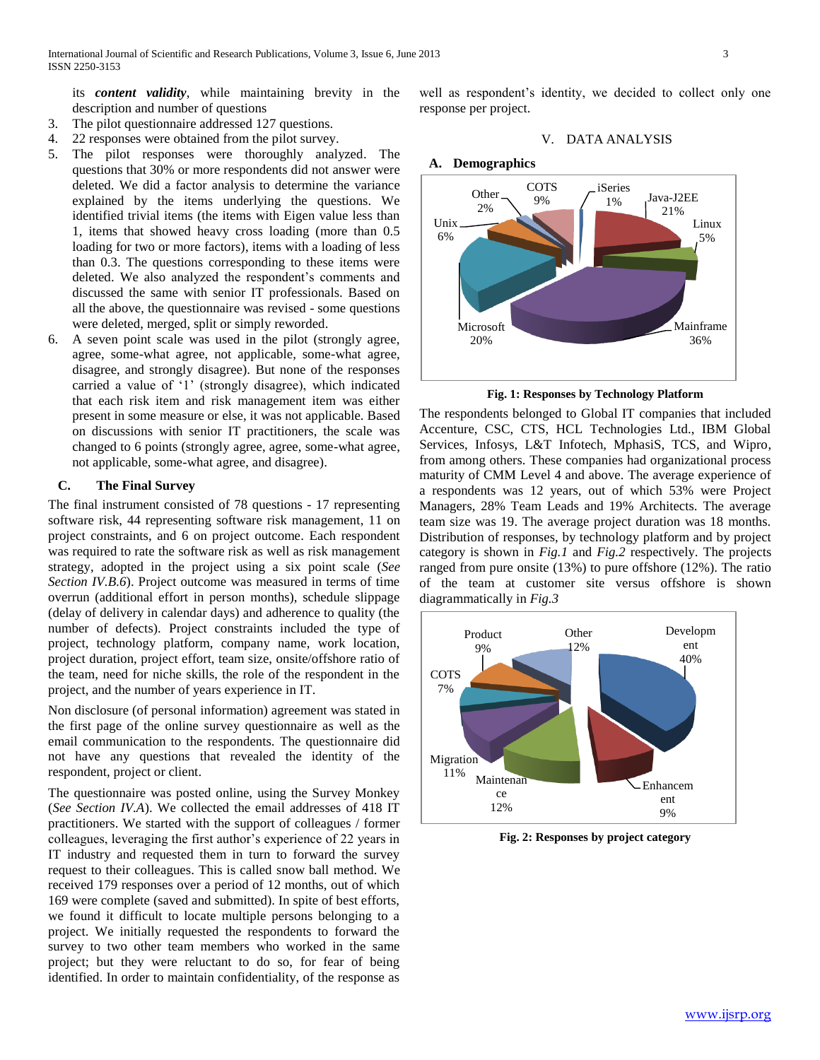its *content validity*, while maintaining brevity in the description and number of questions

- 3. The pilot questionnaire addressed 127 questions.
- 4. 22 responses were obtained from the pilot survey.
- 5. The pilot responses were thoroughly analyzed. The questions that 30% or more respondents did not answer were deleted. We did a factor analysis to determine the variance explained by the items underlying the questions. We identified trivial items (the items with Eigen value less than 1, items that showed heavy cross loading (more than 0.5 loading for two or more factors), items with a loading of less than 0.3. The questions corresponding to these items were deleted. We also analyzed the respondent's comments and discussed the same with senior IT professionals. Based on all the above, the questionnaire was revised - some questions were deleted, merged, split or simply reworded.
- 6. A seven point scale was used in the pilot (strongly agree, agree, some-what agree, not applicable, some-what agree, disagree, and strongly disagree). But none of the responses carried a value of '1' (strongly disagree), which indicated that each risk item and risk management item was either present in some measure or else, it was not applicable. Based on discussions with senior IT practitioners, the scale was changed to 6 points (strongly agree, agree, some-what agree, not applicable, some-what agree, and disagree).

# **C. The Final Survey**

The final instrument consisted of 78 questions - 17 representing software risk, 44 representing software risk management, 11 on project constraints, and 6 on project outcome. Each respondent was required to rate the software risk as well as risk management strategy, adopted in the project using a six point scale (*See Section IV.B.6*). Project outcome was measured in terms of time overrun (additional effort in person months), schedule slippage (delay of delivery in calendar days) and adherence to quality (the number of defects). Project constraints included the type of project, technology platform, company name, work location, project duration, project effort, team size, onsite/offshore ratio of the team, need for niche skills, the role of the respondent in the project, and the number of years experience in IT.

Non disclosure (of personal information) agreement was stated in the first page of the online survey questionnaire as well as the email communication to the respondents. The questionnaire did not have any questions that revealed the identity of the respondent, project or client.

The questionnaire was posted online, using the Survey Monkey (*See Section IV.A*). We collected the email addresses of 418 IT practitioners. We started with the support of colleagues / former colleagues, leveraging the first author's experience of 22 years in IT industry and requested them in turn to forward the survey request to their colleagues. This is called snow ball method. We received 179 responses over a period of 12 months, out of which 169 were complete (saved and submitted). In spite of best efforts, we found it difficult to locate multiple persons belonging to a project. We initially requested the respondents to forward the survey to two other team members who worked in the same project; but they were reluctant to do so, for fear of being identified. In order to maintain confidentiality, of the response as

well as respondent's identity, we decided to collect only one response per project.

## V. DATA ANALYSIS



**Fig. 1: Responses by Technology Platform**

The respondents belonged to Global IT companies that included Accenture, CSC, CTS, HCL Technologies Ltd., IBM Global Services, Infosys, L&T Infotech, MphasiS, TCS, and Wipro, from among others. These companies had organizational process maturity of CMM Level 4 and above. The average experience of a respondents was 12 years, out of which 53% were Project Managers, 28% Team Leads and 19% Architects. The average team size was 19. The average project duration was 18 months. Distribution of responses, by technology platform and by project category is shown in *Fig.1* and *Fig.2* respectively. The projects ranged from pure onsite (13%) to pure offshore (12%). The ratio of the team at customer site versus offshore is shown diagrammatically in *Fig.3*



**Fig. 2: Responses by project category**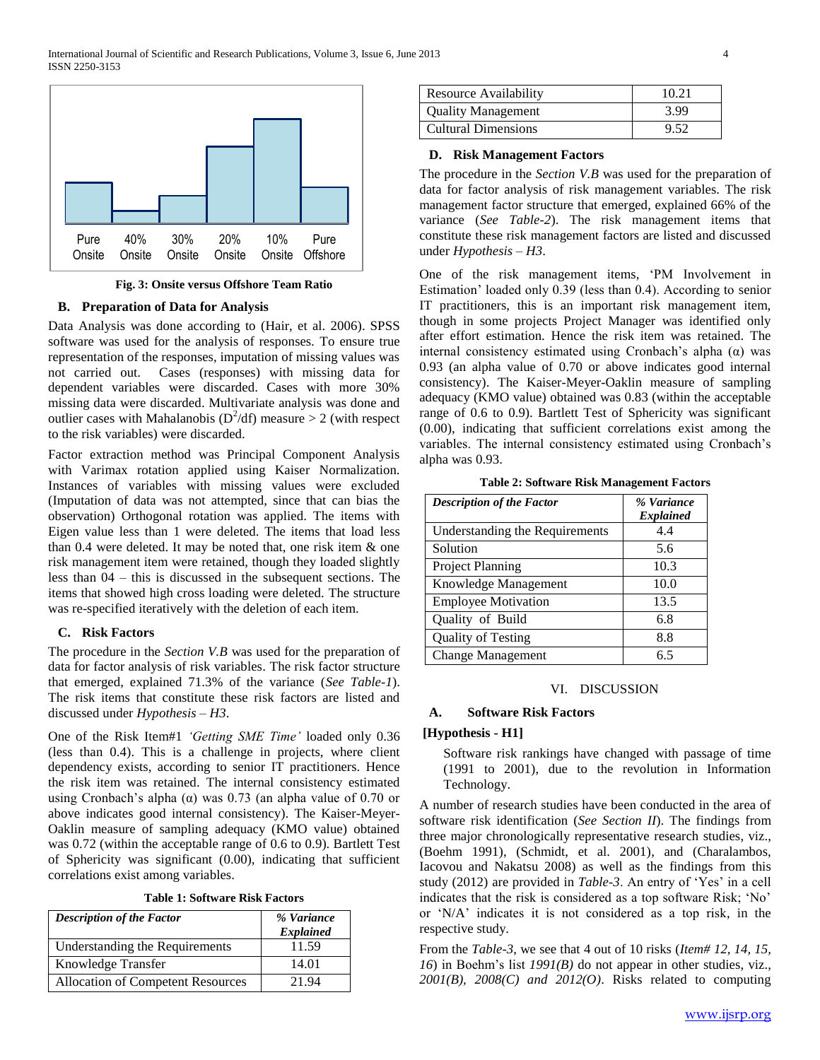

**Fig. 3: Onsite versus Offshore Team Ratio**

#### **B. Preparation of Data for Analysis**

Data Analysis was done according to (Hair, et al. 2006). SPSS software was used for the analysis of responses. To ensure true representation of the responses, imputation of missing values was not carried out. Cases (responses) with missing data for dependent variables were discarded. Cases with more 30% missing data were discarded. Multivariate analysis was done and outlier cases with Mahalanobis ( $D^2/df$ ) measure > 2 (with respect to the risk variables) were discarded.

Factor extraction method was Principal Component Analysis with Varimax rotation applied using Kaiser Normalization. Instances of variables with missing values were excluded (Imputation of data was not attempted, since that can bias the observation) Orthogonal rotation was applied. The items with Eigen value less than 1 were deleted. The items that load less than 0.4 were deleted. It may be noted that, one risk item & one risk management item were retained, though they loaded slightly less than 04 – this is discussed in the subsequent sections. The items that showed high cross loading were deleted. The structure was re-specified iteratively with the deletion of each item.

# **C. Risk Factors**

The procedure in the *Section V.B* was used for the preparation of data for factor analysis of risk variables. The risk factor structure that emerged, explained 71.3% of the variance (*See Table-1*). The risk items that constitute these risk factors are listed and discussed under *Hypothesis – H3*.

One of the Risk Item#1 *'Getting SME Time'* loaded only 0.36 (less than 0.4). This is a challenge in projects, where client dependency exists, according to senior IT practitioners. Hence the risk item was retained. The internal consistency estimated using Cronbach's alpha ( $\alpha$ ) was 0.73 (an alpha value of 0.70 or above indicates good internal consistency). The Kaiser-Meyer-Oaklin measure of sampling adequacy (KMO value) obtained was 0.72 (within the acceptable range of 0.6 to 0.9). Bartlett Test of Sphericity was significant (0.00), indicating that sufficient correlations exist among variables.

**Table 1: Software Risk Factors**

| <b>Description of the Factor</b>  | % Variance<br><b>Explained</b> |
|-----------------------------------|--------------------------------|
| Understanding the Requirements    | 11.59                          |
| Knowledge Transfer                | 14.01                          |
| Allocation of Competent Resources | 21.94                          |

| <b>Resource Availability</b> | 10.21 |
|------------------------------|-------|
| <b>Quality Management</b>    | 3.99  |
| <b>Cultural Dimensions</b>   | 9.52  |

#### **D. Risk Management Factors**

The procedure in the *Section V.B* was used for the preparation of data for factor analysis of risk management variables. The risk management factor structure that emerged, explained 66% of the variance (*See Table-2*). The risk management items that constitute these risk management factors are listed and discussed under *Hypothesis – H3*.

One of the risk management items, 'PM Involvement in Estimation' loaded only 0.39 (less than 0.4). According to senior IT practitioners, this is an important risk management item, though in some projects Project Manager was identified only after effort estimation. Hence the risk item was retained. The internal consistency estimated using Cronbach's alpha (α) was 0.93 (an alpha value of 0.70 or above indicates good internal consistency). The Kaiser-Meyer-Oaklin measure of sampling adequacy (KMO value) obtained was 0.83 (within the acceptable range of 0.6 to 0.9). Bartlett Test of Sphericity was significant (0.00), indicating that sufficient correlations exist among the variables. The internal consistency estimated using Cronbach's alpha was 0.93.

**Table 2: Software Risk Management Factors**

| <b>Description of the Factor</b> | % Variance       |  |  |
|----------------------------------|------------------|--|--|
|                                  | <b>Explained</b> |  |  |
| Understanding the Requirements   | 4.4              |  |  |
| Solution                         | 5.6              |  |  |
| <b>Project Planning</b>          | 10.3             |  |  |
| Knowledge Management             | 10.0             |  |  |
| <b>Employee Motivation</b>       | 13.5             |  |  |
| Quality of Build                 | 6.8              |  |  |
| <b>Quality of Testing</b>        | 8.8              |  |  |
| <b>Change Management</b>         | ճ 5              |  |  |

#### VI. DISCUSSION

#### **A. Software Risk Factors**

#### **[Hypothesis - H1]**

Software risk rankings have changed with passage of time (1991 to 2001), due to the revolution in Information Technology.

A number of research studies have been conducted in the area of software risk identification (*See Section II*). The findings from three major chronologically representative research studies, viz., (Boehm 1991), (Schmidt, et al. 2001), and (Charalambos, Iacovou and Nakatsu 2008) as well as the findings from this study (2012) are provided in *Table-3*. An entry of 'Yes' in a cell indicates that the risk is considered as a top software Risk; 'No' or 'N/A' indicates it is not considered as a top risk, in the respective study.

From the *Table-3*, we see that 4 out of 10 risks (*Item# 12, 14, 15, 16*) in Boehm's list *1991(B)* do not appear in other studies, viz., *2001(B), 2008(C) and 2012(O)*. Risks related to computing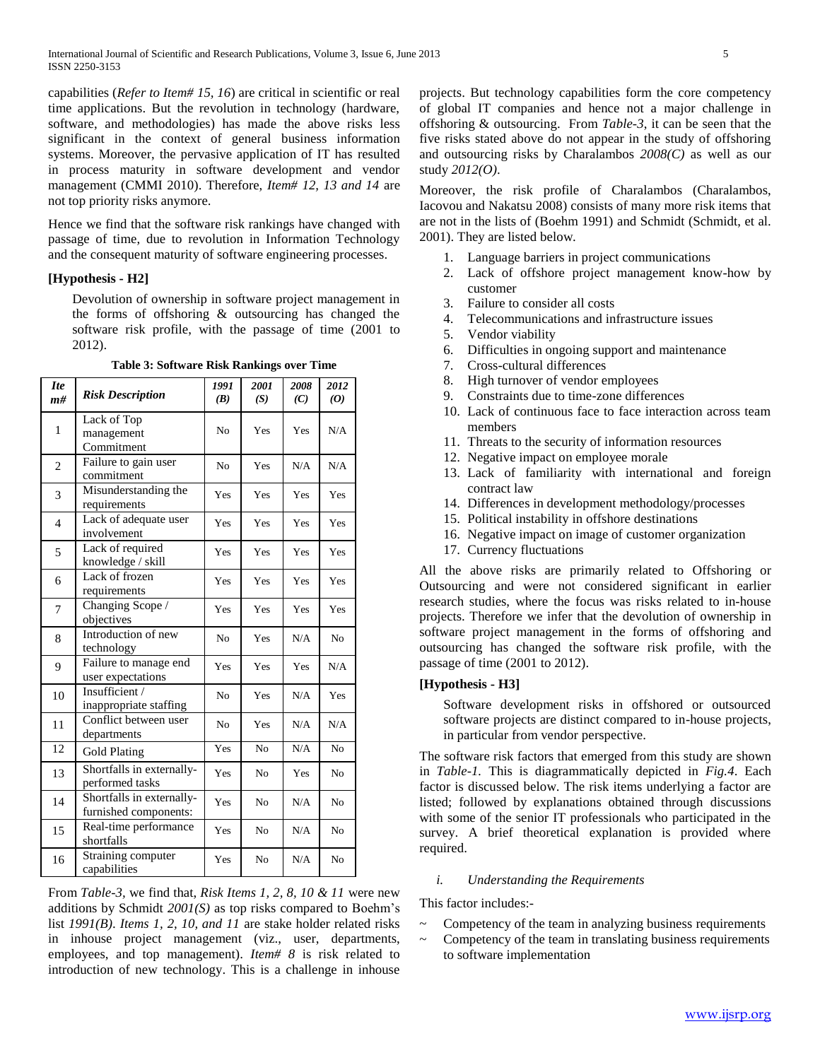capabilities (*Refer to Item# 15, 16*) are critical in scientific or real time applications. But the revolution in technology (hardware, software, and methodologies) has made the above risks less significant in the context of general business information systems. Moreover, the pervasive application of IT has resulted in process maturity in software development and vendor management (CMMI 2010). Therefore, *Item# 12, 13 and 14* are not top priority risks anymore.

Hence we find that the software risk rankings have changed with passage of time, due to revolution in Information Technology and the consequent maturity of software engineering processes.

# **[Hypothesis - H2]**

Devolution of ownership in software project management in the forms of offshoring & outsourcing has changed the software risk profile, with the passage of time (2001 to 2012).

| <b>Ite</b><br>m# | <b>Risk Description</b>                            | 1991<br>(B)    | 2001<br>(S)    | 2008<br>(C) | 2012<br>$\boldsymbol{0}$ |
|------------------|----------------------------------------------------|----------------|----------------|-------------|--------------------------|
| 1                | Lack of Top<br>management<br>Commitment            | N <sub>o</sub> | Yes            | Yes         | N/A                      |
| $\overline{2}$   | Failure to gain user<br>commitment                 | N <sub>o</sub> | Yes            | N/A         | N/A                      |
| 3                | Misunderstanding the<br>requirements               | Yes            | Yes            | Yes         | Yes                      |
| $\overline{4}$   | Lack of adequate user<br>involvement               | Yes            | Yes            | Yes         | Yes                      |
| 5                | Lack of required<br>knowledge / skill              | Yes            | Yes            | Yes         | Yes                      |
| 6                | Lack of frozen<br>requirements                     | Yes            | Yes            | Yes         | Yes                      |
| 7                | Changing Scope /<br>objectives                     | Yes            | Yes            | Yes         | Yes                      |
| 8                | Introduction of new<br>technology                  | N <sub>o</sub> | Yes            | N/A         | N <sub>o</sub>           |
| 9                | Failure to manage end<br>user expectations         | Yes            | Yes            | Yes         | N/A                      |
| 10               | Insufficient /<br>inappropriate staffing           | N <sub>o</sub> | Yes            | N/A         | Yes                      |
| 11               | Conflict between user<br>departments               | N <sub>o</sub> | Yes            | N/A         | N/A                      |
| 12               | Gold Plating                                       | Yes            | N <sub>o</sub> | N/A         | N <sub>o</sub>           |
| 13               | Shortfalls in externally-<br>performed tasks       | Yes            | N <sub>0</sub> | Yes         | N <sub>o</sub>           |
| 14               | Shortfalls in externally-<br>furnished components: | Yes            | No             | N/A         | N <sub>o</sub>           |
| 15               | Real-time performance<br>shortfalls                | Yes            | N <sub>0</sub> | N/A         | N <sub>o</sub>           |
| 16               | Straining computer<br>capabilities                 | Yes            | N <sub>0</sub> | N/A         | N <sub>o</sub>           |

**Table 3: Software Risk Rankings over Time**

From *Table-3,* we find that, *Risk Items 1, 2, 8, 10 & 11* were new additions by Schmidt *2001(S)* as top risks compared to Boehm's list *1991(B)*. *Items 1, 2, 10, and 11* are stake holder related risks in inhouse project management (viz., user, departments, employees, and top management). *Item# 8* is risk related to introduction of new technology. This is a challenge in inhouse

projects. But technology capabilities form the core competency of global IT companies and hence not a major challenge in offshoring & outsourcing. From *Table-3*, it can be seen that the five risks stated above do not appear in the study of offshoring and outsourcing risks by Charalambos *2008(C)* as well as our study *2012(O)*.

Moreover, the risk profile of Charalambos (Charalambos, Iacovou and Nakatsu 2008) consists of many more risk items that are not in the lists of (Boehm 1991) and Schmidt (Schmidt, et al. 2001). They are listed below.

- 1. Language barriers in project communications
- 2. Lack of offshore project management know-how by customer
- 3. Failure to consider all costs
- 4. Telecommunications and infrastructure issues
- 5. Vendor viability
- 6. Difficulties in ongoing support and maintenance
- 7. Cross-cultural differences
- 8. High turnover of vendor employees
- 9. Constraints due to time-zone differences
- 10. Lack of continuous face to face interaction across team members
- 11. Threats to the security of information resources
- 12. Negative impact on employee morale
- 13. Lack of familiarity with international and foreign contract law
- 14. Differences in development methodology/processes
- 15. Political instability in offshore destinations
- 16. Negative impact on image of customer organization
- 17. Currency fluctuations

All the above risks are primarily related to Offshoring or Outsourcing and were not considered significant in earlier research studies, where the focus was risks related to in-house projects. Therefore we infer that the devolution of ownership in software project management in the forms of offshoring and outsourcing has changed the software risk profile, with the passage of time (2001 to 2012).

# **[Hypothesis - H3]**

Software development risks in offshored or outsourced software projects are distinct compared to in-house projects, in particular from vendor perspective.

The software risk factors that emerged from this study are shown in *Table-1.* This is diagrammatically depicted in *Fig.4*. Each factor is discussed below. The risk items underlying a factor are listed; followed by explanations obtained through discussions with some of the senior IT professionals who participated in the survey. A brief theoretical explanation is provided where required.

# *i. Understanding the Requirements*

This factor includes:-

- ~ Competency of the team in analyzing business requirements
- ~ Competency of the team in translating business requirements to software implementation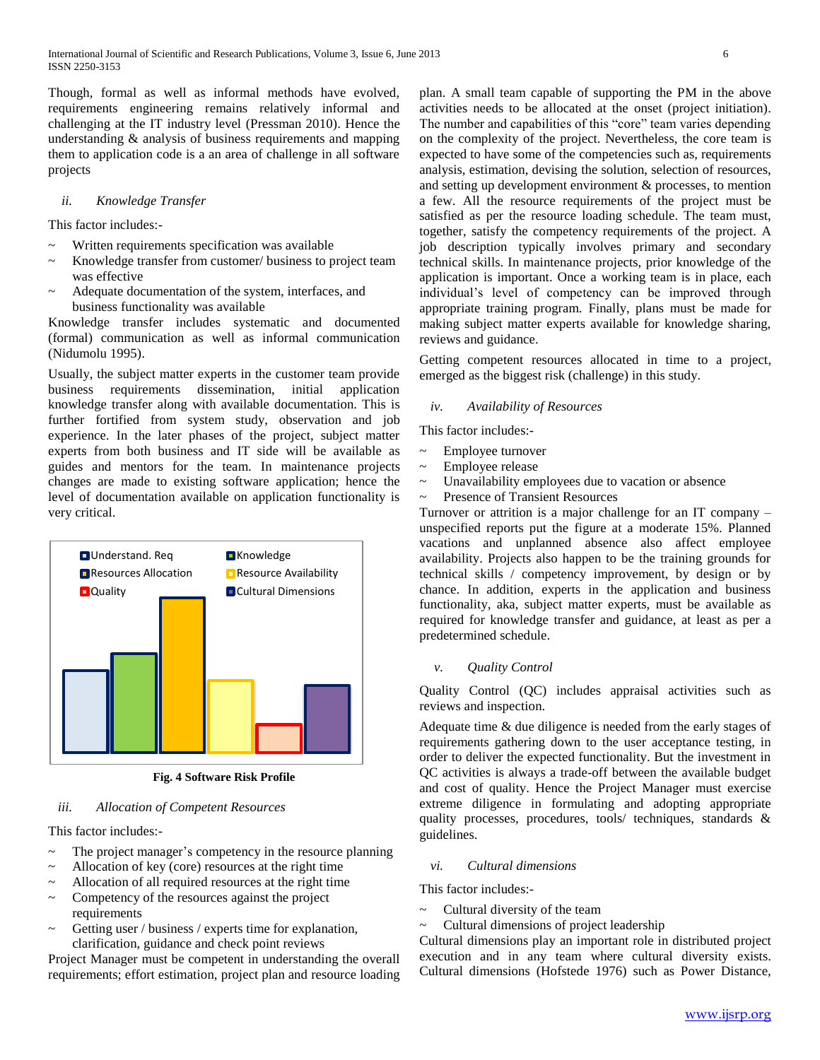Though, formal as well as informal methods have evolved, requirements engineering remains relatively informal and challenging at the IT industry level (Pressman 2010). Hence the understanding & analysis of business requirements and mapping them to application code is a an area of challenge in all software projects

# *ii. Knowledge Transfer*

This factor includes:-

- Written requirements specification was available
- Knowledge transfer from customer/ business to project team was effective
- Adequate documentation of the system, interfaces, and business functionality was available

Knowledge transfer includes systematic and documented (formal) communication as well as informal communication (Nidumolu 1995).

Usually, the subject matter experts in the customer team provide business requirements dissemination, initial application knowledge transfer along with available documentation. This is further fortified from system study, observation and job experience. In the later phases of the project, subject matter experts from both business and IT side will be available as guides and mentors for the team. In maintenance projects changes are made to existing software application; hence the level of documentation available on application functionality is very critical.



**Fig. 4 Software Risk Profile**

# *iii. Allocation of Competent Resources*

This factor includes:-

- The project manager's competency in the resource planning
- Allocation of key (core) resources at the right time
- Allocation of all required resources at the right time
- Competency of the resources against the project requirements
- Getting user / business / experts time for explanation, clarification, guidance and check point reviews

Project Manager must be competent in understanding the overall requirements; effort estimation, project plan and resource loading plan. A small team capable of supporting the PM in the above activities needs to be allocated at the onset (project initiation). The number and capabilities of this "core" team varies depending on the complexity of the project. Nevertheless, the core team is expected to have some of the competencies such as, requirements analysis, estimation, devising the solution, selection of resources, and setting up development environment & processes, to mention a few. All the resource requirements of the project must be satisfied as per the resource loading schedule. The team must, together, satisfy the competency requirements of the project. A job description typically involves primary and secondary technical skills. In maintenance projects, prior knowledge of the application is important. Once a working team is in place, each individual's level of competency can be improved through appropriate training program. Finally, plans must be made for making subject matter experts available for knowledge sharing, reviews and guidance.

Getting competent resources allocated in time to a project, emerged as the biggest risk (challenge) in this study.

#### *iv. Availability of Resources*

This factor includes:-

- Employee turnover
- ~ Employee release
- ~ Unavailability employees due to vacation or absence
- ~ Presence of Transient Resources

Turnover or attrition is a major challenge for an IT company – unspecified reports put the figure at a moderate 15%. Planned vacations and unplanned absence also affect employee availability. Projects also happen to be the training grounds for technical skills / competency improvement, by design or by chance. In addition, experts in the application and business functionality, aka, subject matter experts, must be available as required for knowledge transfer and guidance, at least as per a predetermined schedule.

*v. Quality Control*

Quality Control (QC) includes appraisal activities such as reviews and inspection.

Adequate time & due diligence is needed from the early stages of requirements gathering down to the user acceptance testing, in order to deliver the expected functionality. But the investment in QC activities is always a trade-off between the available budget and cost of quality. Hence the Project Manager must exercise extreme diligence in formulating and adopting appropriate quality processes, procedures, tools/ techniques, standards & guidelines.

# *vi. Cultural dimensions*

This factor includes:-

- Cultural diversity of the team
- $\sim$  Cultural dimensions of project leadership

Cultural dimensions play an important role in distributed project execution and in any team where cultural diversity exists. Cultural dimensions (Hofstede 1976) such as Power Distance,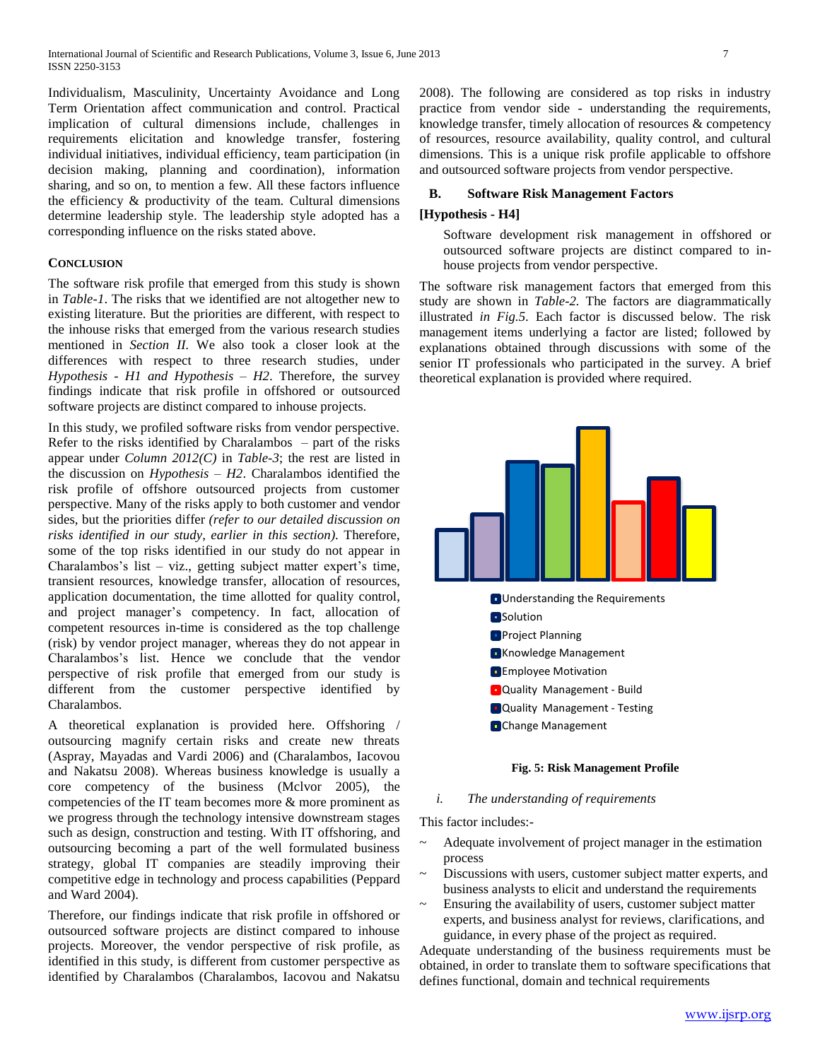Individualism, Masculinity, Uncertainty Avoidance and Long Term Orientation affect communication and control. Practical implication of cultural dimensions include, challenges in requirements elicitation and knowledge transfer, fostering individual initiatives, individual efficiency, team participation (in decision making, planning and coordination), information sharing, and so on, to mention a few. All these factors influence the efficiency & productivity of the team. Cultural dimensions determine leadership style. The leadership style adopted has a corresponding influence on the risks stated above.

# **CONCLUSION**

The software risk profile that emerged from this study is shown in *Table-1*. The risks that we identified are not altogether new to existing literature. But the priorities are different, with respect to the inhouse risks that emerged from the various research studies mentioned in *Section II.* We also took a closer look at the differences with respect to three research studies, under *Hypothesis - H1 and Hypothesis – H2*. Therefore, the survey findings indicate that risk profile in offshored or outsourced software projects are distinct compared to inhouse projects.

In this study, we profiled software risks from vendor perspective. Refer to the risks identified by Charalambos – part of the risks appear under *Column 2012(C)* in *Table-3*; the rest are listed in the discussion on *Hypothesis – H2*. Charalambos identified the risk profile of offshore outsourced projects from customer perspective. Many of the risks apply to both customer and vendor sides, but the priorities differ *(refer to our detailed discussion on risks identified in our study, earlier in this section)*. Therefore, some of the top risks identified in our study do not appear in Charalambos's list – viz., getting subject matter expert's time, transient resources, knowledge transfer, allocation of resources, application documentation, the time allotted for quality control, and project manager's competency. In fact, allocation of competent resources in-time is considered as the top challenge (risk) by vendor project manager, whereas they do not appear in Charalambos's list. Hence we conclude that the vendor perspective of risk profile that emerged from our study is different from the customer perspective identified by Charalambos.

A theoretical explanation is provided here. Offshoring / outsourcing magnify certain risks and create new threats (Aspray, Mayadas and Vardi 2006) and (Charalambos, Iacovou and Nakatsu 2008). Whereas business knowledge is usually a core competency of the business (Mclvor 2005), the competencies of the IT team becomes more & more prominent as we progress through the technology intensive downstream stages such as design, construction and testing. With IT offshoring, and outsourcing becoming a part of the well formulated business strategy, global IT companies are steadily improving their competitive edge in technology and process capabilities (Peppard and Ward 2004).

Therefore, our findings indicate that risk profile in offshored or outsourced software projects are distinct compared to inhouse projects. Moreover, the vendor perspective of risk profile, as identified in this study, is different from customer perspective as identified by Charalambos (Charalambos, Iacovou and Nakatsu 2008). The following are considered as top risks in industry practice from vendor side - understanding the requirements, knowledge transfer, timely allocation of resources & competency of resources, resource availability, quality control, and cultural dimensions. This is a unique risk profile applicable to offshore and outsourced software projects from vendor perspective.

# **B. Software Risk Management Factors**

#### **[Hypothesis - H4]**

Software development risk management in offshored or outsourced software projects are distinct compared to inhouse projects from vendor perspective.

The software risk management factors that emerged from this study are shown in *Table-2.* The factors are diagrammatically illustrated *in Fig.5.* Each factor is discussed below. The risk management items underlying a factor are listed; followed by explanations obtained through discussions with some of the senior IT professionals who participated in the survey. A brief theoretical explanation is provided where required.



#### **Fig. 5: Risk Management Profile**

#### *i. The understanding of requirements*

This factor includes:-

- Adequate involvement of project manager in the estimation process
- Discussions with users, customer subject matter experts, and business analysts to elicit and understand the requirements
- Ensuring the availability of users, customer subject matter experts, and business analyst for reviews, clarifications, and guidance, in every phase of the project as required.

Adequate understanding of the business requirements must be obtained, in order to translate them to software specifications that defines functional, domain and technical requirements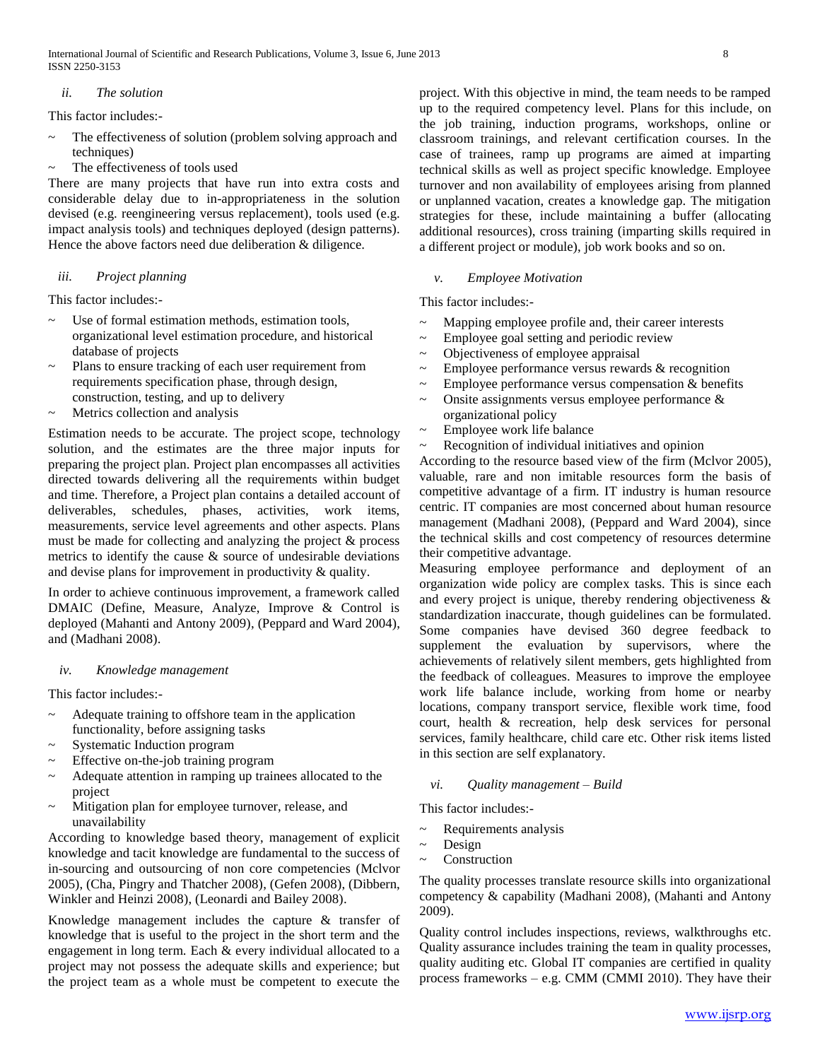# *ii. The solution*

This factor includes:-

- The effectiveness of solution (problem solving approach and techniques)
- The effectiveness of tools used

There are many projects that have run into extra costs and considerable delay due to in-appropriateness in the solution devised (e.g. reengineering versus replacement), tools used (e.g. impact analysis tools) and techniques deployed (design patterns). Hence the above factors need due deliberation & diligence.

# *iii. Project planning*

This factor includes:-

- Use of formal estimation methods, estimation tools, organizational level estimation procedure, and historical database of projects
- Plans to ensure tracking of each user requirement from requirements specification phase, through design, construction, testing, and up to delivery
- Metrics collection and analysis

Estimation needs to be accurate. The project scope, technology solution, and the estimates are the three major inputs for preparing the project plan. Project plan encompasses all activities directed towards delivering all the requirements within budget and time. Therefore, a Project plan contains a detailed account of deliverables, schedules, phases, activities, work items, measurements, service level agreements and other aspects. Plans must be made for collecting and analyzing the project & process metrics to identify the cause  $\&$  source of undesirable deviations and devise plans for improvement in productivity & quality.

In order to achieve continuous improvement, a framework called DMAIC (Define, Measure, Analyze, Improve & Control is deployed (Mahanti and Antony 2009), (Peppard and Ward 2004), and (Madhani 2008).

# *iv. Knowledge management*

This factor includes:-

- Adequate training to offshore team in the application functionality, before assigning tasks
- Systematic Induction program
- Effective on-the-job training program
- Adequate attention in ramping up trainees allocated to the project
- ~ Mitigation plan for employee turnover, release, and unavailability

According to knowledge based theory, management of explicit knowledge and tacit knowledge are fundamental to the success of in-sourcing and outsourcing of non core competencies (Mclvor 2005), (Cha, Pingry and Thatcher 2008), (Gefen 2008), (Dibbern, Winkler and Heinzi 2008), (Leonardi and Bailey 2008).

Knowledge management includes the capture & transfer of knowledge that is useful to the project in the short term and the engagement in long term. Each & every individual allocated to a project may not possess the adequate skills and experience; but the project team as a whole must be competent to execute the

project. With this objective in mind, the team needs to be ramped up to the required competency level. Plans for this include, on the job training, induction programs, workshops, online or classroom trainings, and relevant certification courses. In the case of trainees, ramp up programs are aimed at imparting technical skills as well as project specific knowledge. Employee turnover and non availability of employees arising from planned or unplanned vacation, creates a knowledge gap. The mitigation strategies for these, include maintaining a buffer (allocating additional resources), cross training (imparting skills required in a different project or module), job work books and so on.

# *v. Employee Motivation*

This factor includes:-

- Mapping employee profile and, their career interests
- Employee goal setting and periodic review
- Objectiveness of employee appraisal
- Employee performance versus rewards  $&$  recognition
- Employee performance versus compensation  $&$  benefits
- Onsite assignments versus employee performance  $\&$ organizational policy
- Employee work life balance
- ~ Recognition of individual initiatives and opinion

According to the resource based view of the firm (Mclvor 2005), valuable, rare and non imitable resources form the basis of competitive advantage of a firm. IT industry is human resource centric. IT companies are most concerned about human resource management (Madhani 2008), (Peppard and Ward 2004), since the technical skills and cost competency of resources determine their competitive advantage.

Measuring employee performance and deployment of an organization wide policy are complex tasks. This is since each and every project is unique, thereby rendering objectiveness & standardization inaccurate, though guidelines can be formulated. Some companies have devised 360 degree feedback to supplement the evaluation by supervisors, where the achievements of relatively silent members, gets highlighted from the feedback of colleagues. Measures to improve the employee work life balance include, working from home or nearby locations, company transport service, flexible work time, food court, health & recreation, help desk services for personal services, family healthcare, child care etc. Other risk items listed in this section are self explanatory.

# *vi. Quality management – Build*

This factor includes:-

- Requirements analysis
- $\sim$  Design
- **Construction**

The quality processes translate resource skills into organizational competency & capability (Madhani 2008), (Mahanti and Antony 2009).

Quality control includes inspections, reviews, walkthroughs etc. Quality assurance includes training the team in quality processes, quality auditing etc. Global IT companies are certified in quality process frameworks – e.g. CMM (CMMI 2010). They have their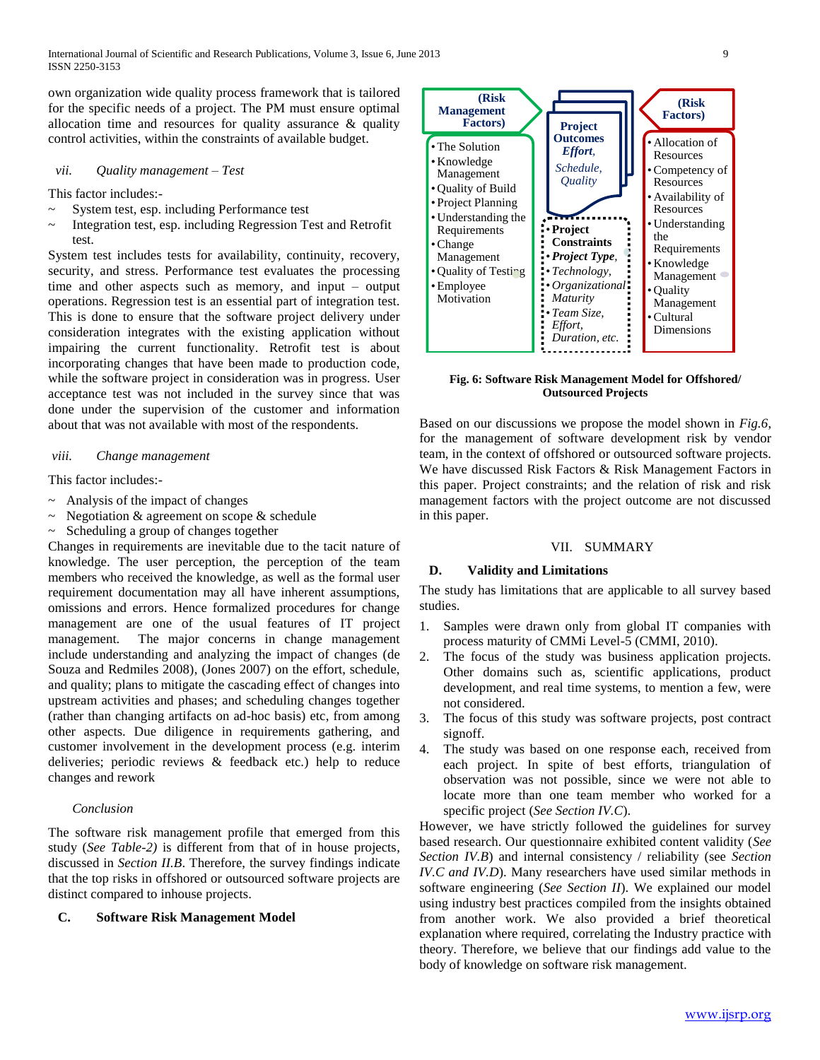own organization wide quality process framework that is tailored for the specific needs of a project. The PM must ensure optimal allocation time and resources for quality assurance & quality control activities, within the constraints of available budget.

#### *vii. Quality management – Test*

This factor includes:-

- System test, esp. including Performance test
- Integration test, esp. including Regression Test and Retrofit test.

System test includes tests for availability, continuity, recovery, security, and stress. Performance test evaluates the processing time and other aspects such as memory, and input – output operations. Regression test is an essential part of integration test. This is done to ensure that the software project delivery under consideration integrates with the existing application without impairing the current functionality. Retrofit test is about incorporating changes that have been made to production code, while the software project in consideration was in progress. User acceptance test was not included in the survey since that was done under the supervision of the customer and information about that was not available with most of the respondents.

#### *viii. Change management*

This factor includes:-

- $\sim$  Analysis of the impact of changes
- $\sim$  Negotiation & agreement on scope & schedule
- ~ Scheduling a group of changes together

Changes in requirements are inevitable due to the tacit nature of knowledge. The user perception, the perception of the team members who received the knowledge, as well as the formal user requirement documentation may all have inherent assumptions, omissions and errors. Hence formalized procedures for change management are one of the usual features of IT project management. The major concerns in change management include understanding and analyzing the impact of changes (de Souza and Redmiles 2008), (Jones 2007) on the effort, schedule, and quality; plans to mitigate the cascading effect of changes into upstream activities and phases; and scheduling changes together (rather than changing artifacts on ad-hoc basis) etc, from among other aspects. Due diligence in requirements gathering, and customer involvement in the development process (e.g. interim deliveries; periodic reviews & feedback etc.) help to reduce changes and rework

#### *Conclusion*

The software risk management profile that emerged from this study (*See Table-2)* is different from that of in house projects, discussed in *Section II.B*. Therefore, the survey findings indicate that the top risks in offshored or outsourced software projects are distinct compared to inhouse projects.

#### **C. Software Risk Management Model**



**Fig. 6: Software Risk Management Model for Offshored/ Outsourced Projects**

Based on our discussions we propose the model shown in *Fig.6*, for the management of software development risk by vendor team, in the context of offshored or outsourced software projects. We have discussed Risk Factors & Risk Management Factors in this paper. Project constraints; and the relation of risk and risk management factors with the project outcome are not discussed in this paper.

#### VII. SUMMARY

# **D. Validity and Limitations**

The study has limitations that are applicable to all survey based studies.

- 1. Samples were drawn only from global IT companies with process maturity of CMMi Level-5 (CMMI, 2010).
- 2. The focus of the study was business application projects. Other domains such as, scientific applications, product development, and real time systems, to mention a few, were not considered.
- 3. The focus of this study was software projects, post contract signoff.
- 4. The study was based on one response each, received from each project. In spite of best efforts, triangulation of observation was not possible, since we were not able to locate more than one team member who worked for a specific project (*See Section IV.C*).

However, we have strictly followed the guidelines for survey based research. Our questionnaire exhibited content validity (*See Section IV.B*) and internal consistency / reliability (see *Section IV.C and IV.D*). Many researchers have used similar methods in software engineering (*See Section II*). We explained our model using industry best practices compiled from the insights obtained from another work. We also provided a brief theoretical explanation where required, correlating the Industry practice with theory. Therefore, we believe that our findings add value to the body of knowledge on software risk management.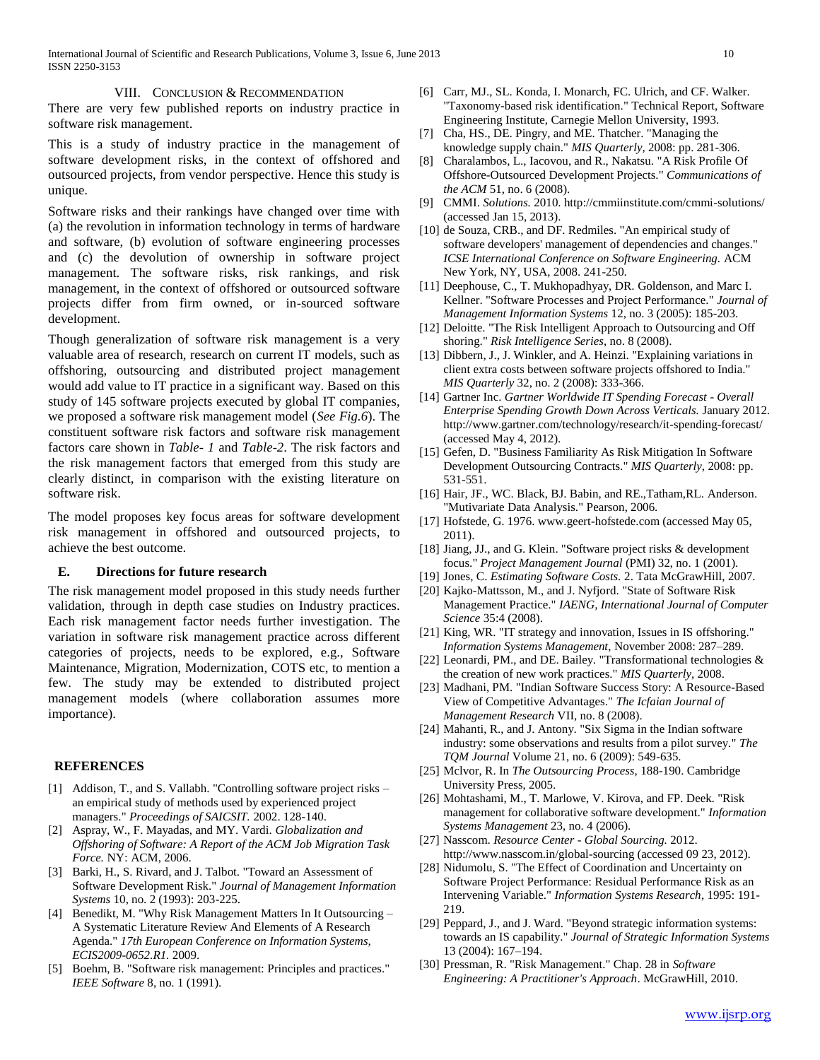International Journal of Scientific and Research Publications, Volume 3, Issue 6, June 2013 10 ISSN 2250-3153

# VIII. CONCLUSION & RECOMMENDATION

There are very few published reports on industry practice in software risk management.

This is a study of industry practice in the management of software development risks, in the context of offshored and outsourced projects, from vendor perspective. Hence this study is unique.

Software risks and their rankings have changed over time with (a) the revolution in information technology in terms of hardware and software, (b) evolution of software engineering processes and (c) the devolution of ownership in software project management. The software risks, risk rankings, and risk management, in the context of offshored or outsourced software projects differ from firm owned, or in-sourced software development.

Though generalization of software risk management is a very valuable area of research, research on current IT models, such as offshoring, outsourcing and distributed project management would add value to IT practice in a significant way. Based on this study of 145 software projects executed by global IT companies, we proposed a software risk management model (*See Fig.6*). The constituent software risk factors and software risk management factors care shown in *Table- 1* and *Table-2*. The risk factors and the risk management factors that emerged from this study are clearly distinct, in comparison with the existing literature on software risk.

The model proposes key focus areas for software development risk management in offshored and outsourced projects, to achieve the best outcome.

## **E. Directions for future research**

The risk management model proposed in this study needs further validation, through in depth case studies on Industry practices. Each risk management factor needs further investigation. The variation in software risk management practice across different categories of projects, needs to be explored, e.g., Software Maintenance, Migration, Modernization, COTS etc, to mention a few. The study may be extended to distributed project management models (where collaboration assumes more importance).

#### **REFERENCES**

- [1] Addison, T., and S. Vallabh. "Controlling software project risks an empirical study of methods used by experienced project managers." *Proceedings of SAICSIT.* 2002. 128-140.
- [2] Aspray, W., F. Mayadas, and MY. Vardi. *Globalization and Offshoring of Software: A Report of the ACM Job Migration Task Force.* NY: ACM, 2006.
- [3] Barki, H., S. Rivard, and J. Talbot. "Toward an Assessment of Software Development Risk." *Journal of Management Information Systems* 10, no. 2 (1993): 203-225.
- [4] Benedikt, M. "Why Risk Management Matters In It Outsourcing A Systematic Literature Review And Elements of A Research Agenda." *17th European Conference on Information Systems, ECIS2009-0652.R1.* 2009.
- [5] Boehm, B. "Software risk management: Principles and practices." *IEEE Software* 8, no. 1 (1991).
- [6] Carr, MJ., SL. Konda, I. Monarch, FC. Ulrich, and CF. Walker. "Taxonomy-based risk identification." Technical Report, Software Engineering Institute, Carnegie Mellon University, 1993.
- [7] Cha, HS., DE. Pingry, and ME. Thatcher. "Managing the knowledge supply chain." *MIS Quarterly*, 2008: pp. 281-306.
- [8] Charalambos, L., Iacovou, and R., Nakatsu. "A Risk Profile Of Offshore-Outsourced Development Projects." *Communications of the ACM* 51, no. 6 (2008).
- [9] CMMI. *Solutions.* 2010. http://cmmiinstitute.com/cmmi-solutions/ (accessed Jan 15, 2013).
- [10] de Souza, CRB., and DF. Redmiles. "An empirical study of software developers' management of dependencies and changes." *ICSE International Conference on Software Engineering.* ACM New York, NY, USA, 2008. 241-250.
- [11] Deephouse, C., T. Mukhopadhyay, DR. Goldenson, and Marc I. Kellner. "Software Processes and Project Performance." *Journal of Management Information Systems* 12, no. 3 (2005): 185-203.
- [12] Deloitte. "The Risk Intelligent Approach to Outsourcing and Off shoring." *Risk Intelligence Series*, no. 8 (2008).
- [13] Dibbern, J., J. Winkler, and A. Heinzi. "Explaining variations in client extra costs between software projects offshored to India." *MIS Quarterly* 32, no. 2 (2008): 333-366.
- [14] Gartner Inc. *Gartner Worldwide IT Spending Forecast - Overall Enterprise Spending Growth Down Across Verticals.* January 2012. http://www.gartner.com/technology/research/it-spending-forecast/ (accessed May 4, 2012).
- [15] Gefen, D. "Business Familiarity As Risk Mitigation In Software Development Outsourcing Contracts." *MIS Quarterly*, 2008: pp. 531-551.
- [16] Hair, JF., WC. Black, BJ. Babin, and RE.,Tatham,RL. Anderson. "Mutivariate Data Analysis." Pearson, 2006.
- [17] Hofstede, G. 1976. www.geert-hofstede.com (accessed May 05, 2011).
- [18] Jiang, JJ., and G. Klein. "Software project risks & development focus." *Project Management Journal* (PMI) 32, no. 1 (2001).
- [19] Jones, C. *Estimating Software Costs.* 2. Tata McGrawHill, 2007.
- [20] Kajko-Mattsson, M., and J. Nyfjord. "State of Software Risk Management Practice." *IAENG, International Journal of Computer Science* 35:4 (2008).
- [21] King, WR. "IT strategy and innovation, Issues in IS offshoring." *Information Systems Management*, November 2008: 287–289.
- [22] Leonardi, PM., and DE. Bailey. "Transformational technologies & the creation of new work practices." *MIS Quarterly*, 2008.
- [23] Madhani, PM. "Indian Software Success Story: A Resource-Based View of Competitive Advantages." *The Icfaian Journal of Management Research* VII, no. 8 (2008).
- [24] Mahanti, R., and J. Antony. "Six Sigma in the Indian software industry: some observations and results from a pilot survey." *The TQM Journal* Volume 21, no. 6 (2009): 549-635.
- [25] Mclvor, R. In *The Outsourcing Process*, 188-190. Cambridge University Press, 2005.
- [26] Mohtashami, M., T. Marlowe, V. Kirova, and FP. Deek. "Risk management for collaborative software development." *Information Systems Management* 23, no. 4 (2006).
- [27] Nasscom. *Resource Center - Global Sourcing.* 2012. http://www.nasscom.in/global-sourcing (accessed 09 23, 2012).
- [28] Nidumolu, S. "The Effect of Coordination and Uncertainty on Software Project Performance: Residual Performance Risk as an Intervening Variable." *Information Systems Research*, 1995: 191- 219.
- [29] Peppard, J., and J. Ward. "Beyond strategic information systems: towards an IS capability." *Journal of Strategic Information Systems* 13 (2004): 167–194.
- [30] Pressman, R. "Risk Management." Chap. 28 in *Software Engineering: A Practitioner's Approach*. McGrawHill, 2010.